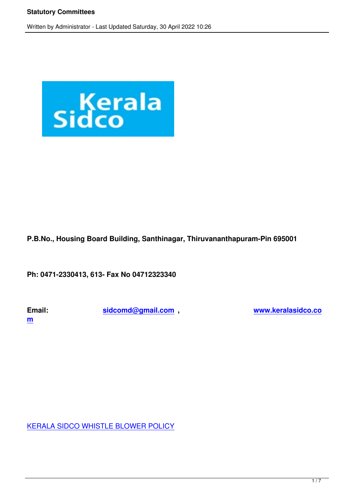

# **P.B.No., Housing Board Building, Santhinagar, Thiruvananthapuram-Pin 695001**

**Ph: 0471-2330413, 613- Fax No 04712323340**

**m**

**Email: sidcomd@gmail.com , www.keralasidco.co**

KERALA SIDCO WHISTLE BLOWER POLICY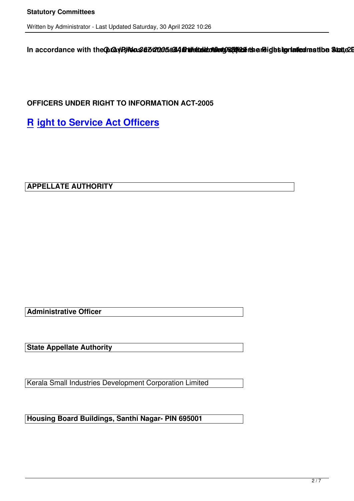In accordance with the ChO2 VR No.367/202054644 Drivetale of Details and identicated rastibe Statte 2005

**OFFICERS UNDER RIGHT TO INFORMATION ACT-2005** 

**R ight to Service Act Officers**

**APPELLATE AUTHORITY**

**Administrative Officer**

**State Appellate Authority**

Kerala Small Industries Development Corporation Limited

**Housing Board Buildings, Santhi Nagar- PIN 695001**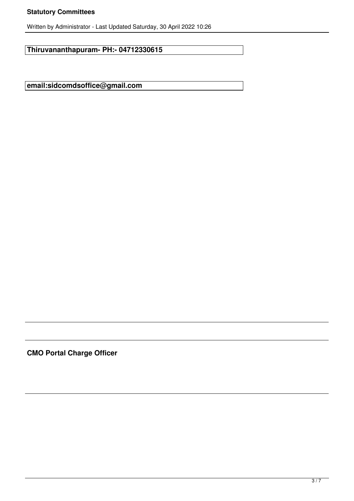#### **Statutory Committees**

Written by Administrator - Last Updated Saturday, 30 April 2022 10:26

**Thiruvananthapuram- PH:- 04712330615**

**email:sidcomdsoffice@gmail.com**

**CMO Portal Charge Officer**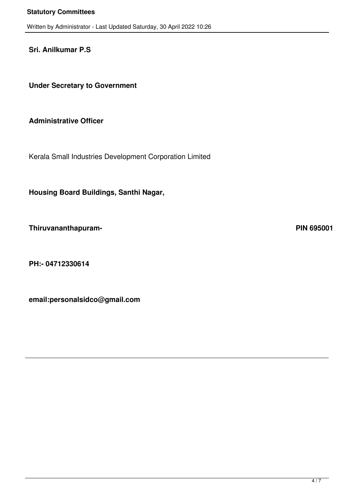**Sri. Anilkumar P.S**

 **Under Secretary to Government**

### **Administrative Officer**

Kerala Small Industries Development Corporation Limited

 **Housing Board Buildings, Santhi Nagar,**

 **Thiruvananthapuram- PIN 695001**

 **PH:- 04712330614**

 **email:personalsidco@gmail.com**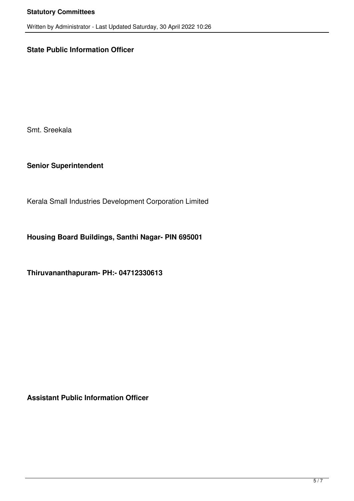# **State Public Information Officer**

Smt. Sreekala

**Senior Superintendent**

Kerala Small Industries Development Corporation Limited

**Housing Board Buildings, Santhi Nagar- PIN 695001**

**Thiruvananthapuram- PH:- 04712330613**

**Assistant Public Information Officer**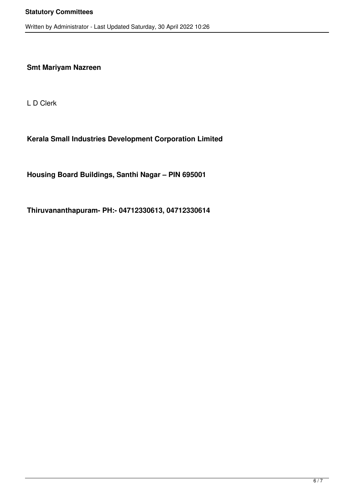#### **Smt Mariyam Nazreen**

L D Clerk

#### **Kerala Small Industries Development Corporation Limited**

**Housing Board Buildings, Santhi Nagar – PIN 695001**

**Thiruvananthapuram- PH:- 04712330613, 04712330614**